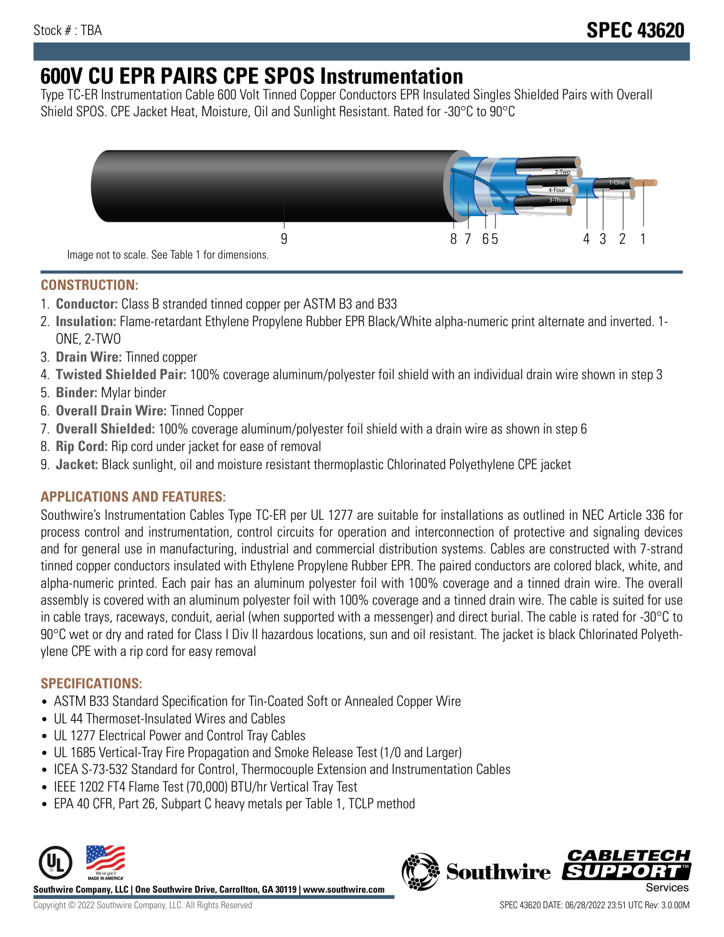# **600V CU EPR PAIRS CPE SPOS Instrumentation**

Type TC-ER Instrumentation Cable 600 Volt Tinned Copper Conductors EPR Insulated Singles Shielded Pairs with Overall Shield SPOS. CPE Jacket Heat, Moisture, Oil and Sunlight Resistant. Rated for -30°C to 90°C



### **CONSTRUCTION:**

- 1. **Conductor:** Class B stranded tinned copper per ASTM B3 and B33
- 2. **Insulation:** Flame-retardant Ethylene Propylene Rubber EPR Black/White alpha-numeric print alternate and inverted. 1- ONE, 2-TWO
- 3. **Drain Wire:** Tinned copper
- 4. **Twisted Shielded Pair:** 100% coverage aluminum/polyester foil shield with an individual drain wire shown in step 3
- 5. **Binder:** Mylar binder
- 6. **Overall Drain Wire:** Tinned Copper
- 7. **Overall Shielded:** 100% coverage aluminum/polyester foil shield with a drain wire as shown in step 6
- 8. **Rip Cord:** Rip cord under jacket for ease of removal
- 9. **Jacket:** Black sunlight, oil and moisture resistant thermoplastic Chlorinated Polyethylene CPE jacket

## **APPLICATIONS AND FEATURES:**

Southwire's Instrumentation Cables Type TC-ER per UL 1277 are suitable for installations as outlined in NEC Article 336 for process control and instrumentation, control circuits for operation and interconnection of protective and signaling devices and for general use in manufacturing, industrial and commercial distribution systems. Cables are constructed with 7-strand tinned copper conductors insulated with Ethylene Propylene Rubber EPR. The paired conductors are colored black, white, and alpha-numeric printed. Each pair has an aluminum polyester foil with 100% coverage and a tinned drain wire. The overall assembly is covered with an aluminum polyester foil with 100% coverage and a tinned drain wire. The cable is suited for use in cable trays, raceways, conduit, aerial (when supported with a messenger) and direct burial. The cable is rated for -30°C to 90°C wet or dry and rated for Class I Div II hazardous locations, sun and oil resistant. The jacket is black Chlorinated Polyethylene CPE with a rip cord for easy removal

## **SPECIFICATIONS:**

- ASTM B33 Standard Specification for Tin-Coated Soft or Annealed Copper Wire
- UL 44 Thermoset-Insulated Wires and Cables
- UL 1277 Electrical Power and Control Tray Cables
- UL 1685 Vertical-Tray Fire Propagation and Smoke Release Test (1/0 and Larger)
- ICEA S-73-532 Standard for Control, Thermocouple Extension and Instrumentation Cables
- IEEE 1202 FT4 Flame Test (70,000) BTU/hr Vertical Tray Test
- EPA 40 CFR, Part 26, Subpart C heavy metals per Table 1, TCLP method



**Southwire Company, LLC | One Southwire Drive, Carrollton, GA 30119 | www.southwire.com**